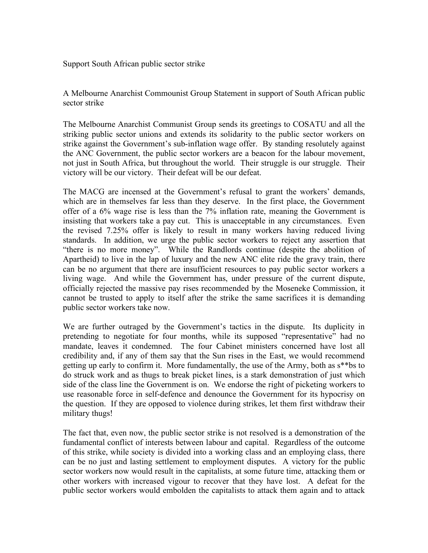Support South African public sector strike

A Melbourne Anarchist Commounist Group Statement in support of South African public sector strike

The Melbourne Anarchist Communist Group sends its greetings to COSATU and all the striking public sector unions and extends its solidarity to the public sector workers on strike against the Government's sub-inflation wage offer. By standing resolutely against the ANC Government, the public sector workers are a beacon for the labour movement, not just in South Africa, but throughout the world. Their struggle is our struggle. Their victory will be our victory. Their defeat will be our defeat.

The MACG are incensed at the Government's refusal to grant the workers' demands, which are in themselves far less than they deserve. In the first place, the Government offer of a 6% wage rise is less than the 7% inflation rate, meaning the Government is insisting that workers take a pay cut. This is unacceptable in any circumstances. Even the revised 7.25% offer is likely to result in many workers having reduced living standards. In addition, we urge the public sector workers to reject any assertion that "there is no more money". While the Randlords continue (despite the abolition of Apartheid) to live in the lap of luxury and the new ANC elite ride the gravy train, there can be no argument that there are insufficient resources to pay public sector workers a living wage. And while the Government has, under pressure of the current dispute, officially rejected the massive pay rises recommended by the Moseneke Commission, it cannot be trusted to apply to itself after the strike the same sacrifices it is demanding public sector workers take now.

We are further outraged by the Government's tactics in the dispute. Its duplicity in pretending to negotiate for four months, while its supposed "representative" had no mandate, leaves it condemned. The four Cabinet ministers concerned have lost all credibility and, if any of them say that the Sun rises in the East, we would recommend getting up early to confirm it. More fundamentally, the use of the Army, both as s\*\*bs to do struck work and as thugs to break picket lines, is a stark demonstration of just which side of the class line the Government is on. We endorse the right of picketing workers to use reasonable force in self-defence and denounce the Government for its hypocrisy on the question. If they are opposed to violence during strikes, let them first withdraw their military thugs!

The fact that, even now, the public sector strike is not resolved is a demonstration of the fundamental conflict of interests between labour and capital. Regardless of the outcome of this strike, while society is divided into a working class and an employing class, there can be no just and lasting settlement to employment disputes. A victory for the public sector workers now would result in the capitalists, at some future time, attacking them or other workers with increased vigour to recover that they have lost. A defeat for the public sector workers would embolden the capitalists to attack them again and to attack